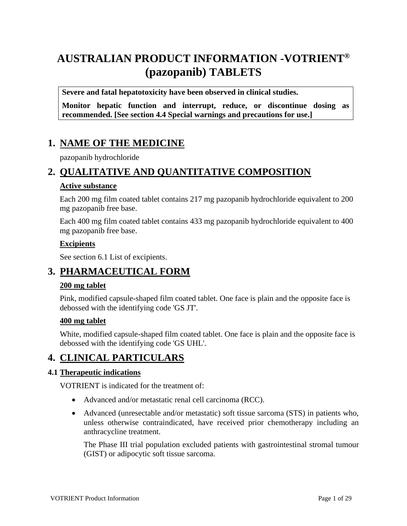# **AUSTRALIAN PRODUCT INFORMATION -VOTRIENT® (pazopanib) TABLETS**

**Severe and fatal hepatotoxicity have been observed in clinical studies.**

**Monitor hepatic function and interrupt, reduce, or discontinue dosing as recommended. [See section 4.4 Special warnings and precautions for use.]**

### **1. NAME OF THE MEDICINE**

pazopanib hydrochloride

### **2. QUALITATIVE AND QUANTITATIVE COMPOSITION**

#### **Active substance**

Each 200 mg film coated tablet contains 217 mg pazopanib hydrochloride equivalent to 200 mg pazopanib free base.

Each 400 mg film coated tablet contains 433 mg pazopanib hydrochloride equivalent to 400 mg pazopanib free base.

#### **Excipients**

See section 6.1 List of excipients.

### **3. PHARMACEUTICAL FORM**

#### **200 mg tablet**

Pink, modified capsule-shaped film coated tablet. One face is plain and the opposite face is debossed with the identifying code 'GS JT'.

#### **400 mg tablet**

White, modified capsule-shaped film coated tablet. One face is plain and the opposite face is debossed with the identifying code 'GS UHL'.

### **4. CLINICAL PARTICULARS**

#### **4.1 Therapeutic indications**

VOTRIENT is indicated for the treatment of:

- Advanced and/or metastatic renal cell carcinoma (RCC).
- Advanced (unresectable and/or metastatic) soft tissue sarcoma (STS) in patients who, unless otherwise contraindicated, have received prior chemotherapy including an anthracycline treatment.

The Phase III trial population excluded patients with gastrointestinal stromal tumour (GIST) or adipocytic soft tissue sarcoma.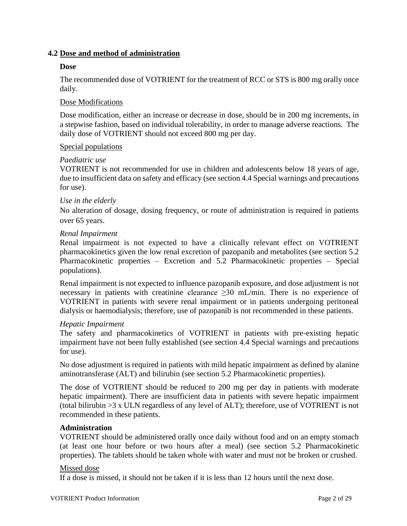#### **4.2 Dose and method of administration**

#### **Dose**

The recommended dose of VOTRIENT for the treatment of RCC or STS is 800 mg orally once daily.

#### Dose Modifications

Dose modification, either an increase or decrease in dose, should be in 200 mg increments, in a stepwise fashion, based on individual tolerability, in order to manage adverse reactions. The daily dose of VOTRIENT should not exceed 800 mg per day.

#### Special populations

#### *Paediatric use*

VOTRIENT is not recommended for use in children and adolescents below 18 years of age, due to insufficient data on safety and efficacy (see section 4.4 Special warnings and precautions for use).

#### *Use in the elderly*

No alteration of dosage, dosing frequency, or route of administration is required in patients over 65 years.

#### *Renal Impairment*

Renal impairment is not expected to have a clinically relevant effect on VOTRIENT pharmacokinetics given the low renal excretion of pazopanib and metabolites (see section 5.2 Pharmacokinetic properties – Excretion and 5.2 Pharmacokinetic properties – Special populations).

Renal impairment is not expected to influence pazopanib exposure, and dose adjustment is not necessary in patients with creatinine clearance  $\geq 30$  mL/min. There is no experience of VOTRIENT in patients with severe renal impairment or in patients undergoing peritoneal dialysis or haemodialysis; therefore, use of pazopanib is not recommended in these patients.

#### *Hepatic Impairment*

The safety and pharmacokinetics of VOTRIENT in patients with pre-existing hepatic impairment have not been fully established (see section 4.4 Special warnings and precautions for use).

No dose adjustment is required in patients with mild hepatic impairment as defined by alanine aminotransferase (ALT) and bilirubin (see section 5.2 Pharmacokinetic properties).

The dose of VOTRIENT should be reduced to 200 mg per day in patients with moderate hepatic impairment). There are insufficient data in patients with severe hepatic impairment (total bilirubin >3 x ULN regardless of any level of ALT); therefore, use of VOTRIENT is not recommended in these patients.

#### **Administration**

VOTRIENT should be administered orally once daily without food and on an empty stomach (at least one hour before or two hours after a meal) (see section 5.2 Pharmacokinetic properties). The tablets should be taken whole with water and must not be broken or crushed.

#### Missed dose

If a dose is missed, it should not be taken if it is less than 12 hours until the next dose.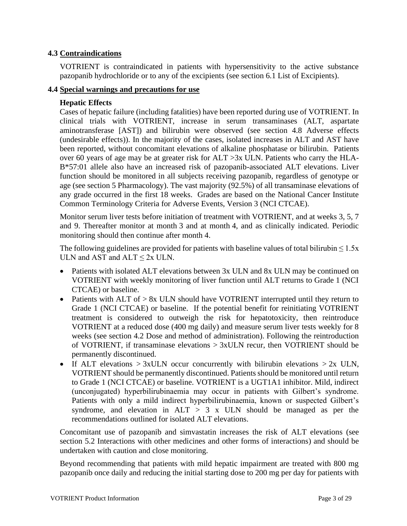#### **4.3 Contraindications**

VOTRIENT is contraindicated in patients with hypersensitivity to the active substance pazopanib hydrochloride or to any of the excipients (see section 6.1 List of Excipients).

#### **4.4 Special warnings and precautions for use**

#### **Hepatic Effects**

Cases of hepatic failure (including fatalities) have been reported during use of VOTRIENT. In clinical trials with VOTRIENT, increase in serum transaminases (ALT, aspartate aminotransferase [AST]) and bilirubin were observed (see section 4.8 Adverse effects (undesirable effects)). In the majority of the cases, isolated increases in ALT and AST have been reported, without concomitant elevations of alkaline phosphatase or bilirubin. Patients over 60 years of age may be at greater risk for ALT >3x ULN. Patients who carry the HLA-B\*57:01 allele also have an increased risk of pazopanib-associated ALT elevations. Liver function should be monitored in all subjects receiving pazopanib, regardless of genotype or age (see section 5 Pharmacology). The vast majority (92.5%) of all transaminase elevations of any grade occurred in the first 18 weeks. Grades are based on the National Cancer Institute Common Terminology Criteria for Adverse Events, Version 3 (NCI CTCAE).

Monitor serum liver tests before initiation of treatment with VOTRIENT, and at weeks 3, 5, 7 and 9. Thereafter monitor at month 3 and at month 4, and as clinically indicated. Periodic monitoring should then continue after month 4.

The following guidelines are provided for patients with baseline values of total bilirubin  $\leq 1.5x$ ULN and AST and  $ALT \leq 2x$  ULN.

- Patients with isolated ALT elevations between 3x ULN and 8x ULN may be continued on VOTRIENT with weekly monitoring of liver function until ALT returns to Grade 1 (NCI CTCAE) or baseline.
- Patients with ALT of > 8x ULN should have VOTRIENT interrupted until they return to Grade 1 (NCI CTCAE) or baseline. If the potential benefit for reinitiating VOTRIENT treatment is considered to outweigh the risk for hepatotoxicity, then reintroduce VOTRIENT at a reduced dose (400 mg daily) and measure serum liver tests weekly for 8 weeks (see section 4.2 Dose and method of administration). Following the reintroduction of VOTRIENT, if transaminase elevations  $> 3x$ ULN recur, then VOTRIENT should be permanently discontinued.
- If ALT elevations  $> 3x$ ULN occur concurrently with bilirubin elevations  $> 2x$  ULN, VOTRIENT should be permanently discontinued. Patients should be monitored until return to Grade 1 (NCI CTCAE) or baseline. VOTRIENT is a UGT1A1 inhibitor. Mild, indirect (unconjugated) hyperbilirubinaemia may occur in patients with Gilbert's syndrome. Patients with only a mild indirect hyperbilirubinaemia, known or suspected Gilbert's syndrome, and elevation in  $ALT > 3$  x ULN should be managed as per the recommendations outlined for isolated ALT elevations.

Concomitant use of pazopanib and simvastatin increases the risk of ALT elevations (see section 5.2 Interactions with other medicines and other forms of interactions) and should be undertaken with caution and close monitoring.

Beyond recommending that patients with mild hepatic impairment are treated with 800 mg pazopanib once daily and reducing the initial starting dose to 200 mg per day for patients with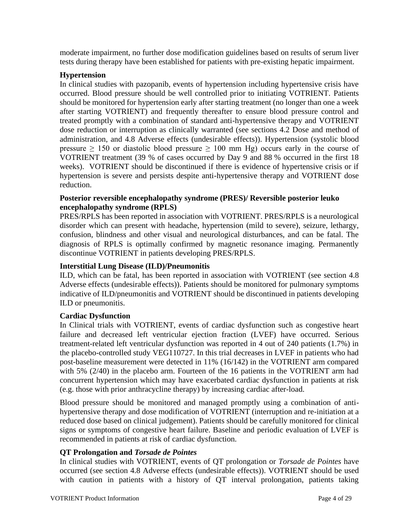moderate impairment, no further dose modification guidelines based on results of serum liver tests during therapy have been established for patients with pre-existing hepatic impairment.

#### **Hypertension**

In clinical studies with pazopanib, events of hypertension including hypertensive crisis have occurred. Blood pressure should be well controlled prior to initiating VOTRIENT. Patients should be monitored for hypertension early after starting treatment (no longer than one a week after starting VOTRIENT) and frequently thereafter to ensure blood pressure control and treated promptly with a combination of standard anti-hypertensive therapy and VOTRIENT dose reduction or interruption as clinically warranted (see sections 4.2 Dose and method of administration, and 4.8 Adverse effects (undesirable effects)). Hypertension (systolic blood pressure  $\geq$  150 or diastolic blood pressure  $\geq$  100 mm Hg) occurs early in the course of VOTRIENT treatment (39 % of cases occurred by Day 9 and 88 % occurred in the first 18 weeks). VOTRIENT should be discontinued if there is evidence of hypertensive crisis or if hypertension is severe and persists despite anti-hypertensive therapy and VOTRIENT dose reduction.

#### **Posterior reversible encephalopathy syndrome (PRES)/ Reversible posterior leuko encephalopathy syndrome (RPLS)**

PRES/RPLS has been reported in association with VOTRIENT. PRES/RPLS is a neurological disorder which can present with headache, hypertension (mild to severe), seizure, lethargy, confusion, blindness and other visual and neurological disturbances, and can be fatal. The diagnosis of RPLS is optimally confirmed by magnetic resonance imaging. Permanently discontinue VOTRIENT in patients developing PRES/RPLS.

#### **Interstitial Lung Disease (ILD)/Pneumonitis**

ILD, which can be fatal, has been reported in association with VOTRIENT (see section 4.8 Adverse effects (undesirable effects)). Patients should be monitored for pulmonary symptoms indicative of ILD/pneumonitis and VOTRIENT should be discontinued in patients developing ILD or pneumonitis.

#### **Cardiac Dysfunction**

In Clinical trials with VOTRIENT, events of cardiac dysfunction such as congestive heart failure and decreased left ventricular ejection fraction (LVEF) have occurred. Serious treatment-related left ventricular dysfunction was reported in 4 out of 240 patients (1.7%) in the placebo-controlled study VEG110727. In this trial decreases in LVEF in patients who had post-baseline measurement were detected in 11% (16/142) in the VOTRIENT arm compared with 5% (2/40) in the placebo arm. Fourteen of the 16 patients in the VOTRIENT arm had concurrent hypertension which may have exacerbated cardiac dysfunction in patients at risk (e.g. those with prior anthracycline therapy) by increasing cardiac after-load.

Blood pressure should be monitored and managed promptly using a combination of antihypertensive therapy and dose modification of VOTRIENT (interruption and re-initiation at a reduced dose based on clinical judgement). Patients should be carefully monitored for clinical signs or symptoms of congestive heart failure. Baseline and periodic evaluation of LVEF is recommended in patients at risk of cardiac dysfunction.

#### **QT Prolongation and** *Torsade de Pointes*

In clinical studies with VOTRIENT, events of QT prolongation or *Torsade de Pointes* have occurred (see section 4.8 Adverse effects (undesirable effects)). VOTRIENT should be used with caution in patients with a history of QT interval prolongation, patients taking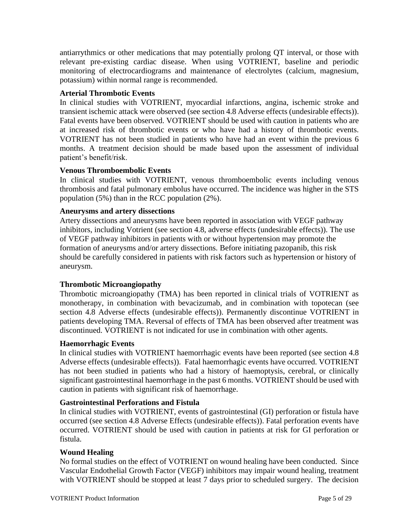antiarrythmics or other medications that may potentially prolong QT interval, or those with relevant pre-existing cardiac disease. When using VOTRIENT, baseline and periodic monitoring of electrocardiograms and maintenance of electrolytes (calcium, magnesium, potassium) within normal range is recommended.

#### **Arterial Thrombotic Events**

In clinical studies with VOTRIENT, myocardial infarctions, angina, ischemic stroke and transient ischemic attack were observed (see section 4.8 Adverse effects (undesirable effects)). Fatal events have been observed. VOTRIENT should be used with caution in patients who are at increased risk of thrombotic events or who have had a history of thrombotic events. VOTRIENT has not been studied in patients who have had an event within the previous 6 months. A treatment decision should be made based upon the assessment of individual patient's benefit/risk.

#### **Venous Thromboembolic Events**

In clinical studies with VOTRIENT, venous thromboembolic events including venous thrombosis and fatal pulmonary embolus have occurred. The incidence was higher in the STS population (5%) than in the RCC population (2%).

#### **Aneurysms and artery dissections**

Artery dissections and aneurysms have been reported in association with VEGF pathway inhibitors, including Votrient (see section 4.8, adverse effects (undesirable effects)). The use of VEGF pathway inhibitors in patients with or without hypertension may promote the formation of aneurysms and/or artery dissections. Before initiating pazopanib, this risk should be carefully considered in patients with risk factors such as hypertension or history of aneurysm.

#### **Thrombotic Microangiopathy**

Thrombotic microangiopathy (TMA) has been reported in clinical trials of VOTRIENT as monotherapy, in combination with bevacizumab, and in combination with topotecan (see section 4.8 Adverse effects (undesirable effects)). Permanently discontinue VOTRIENT in patients developing TMA. Reversal of effects of TMA has been observed after treatment was discontinued. VOTRIENT is not indicated for use in combination with other agents.

#### **Haemorrhagic Events**

In clinical studies with VOTRIENT haemorrhagic events have been reported (see section 4.8 Adverse effects (undesirable effects)). Fatal haemorrhagic events have occurred. VOTRIENT has not been studied in patients who had a history of haemoptysis, cerebral, or clinically significant gastrointestinal haemorrhage in the past 6 months. VOTRIENT should be used with caution in patients with significant risk of haemorrhage.

#### **Gastrointestinal Perforations and Fistula**

In clinical studies with VOTRIENT, events of gastrointestinal (GI) perforation or fistula have occurred (see section 4.8 Adverse Effects (undesirable effects)). Fatal perforation events have occurred. VOTRIENT should be used with caution in patients at risk for GI perforation or fistula.

#### **Wound Healing**

No formal studies on the effect of VOTRIENT on wound healing have been conducted. Since Vascular Endothelial Growth Factor (VEGF) inhibitors may impair wound healing, treatment with VOTRIENT should be stopped at least 7 days prior to scheduled surgery. The decision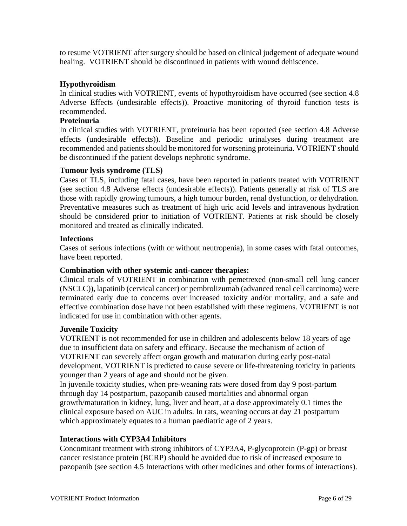to resume VOTRIENT after surgery should be based on clinical judgement of adequate wound healing. VOTRIENT should be discontinued in patients with wound dehiscence.

#### **Hypothyroidism**

In clinical studies with VOTRIENT, events of hypothyroidism have occurred (see section 4.8 Adverse Effects (undesirable effects)). Proactive monitoring of thyroid function tests is recommended.

#### **Proteinuria**

In clinical studies with VOTRIENT, proteinuria has been reported (see section 4.8 Adverse effects (undesirable effects)). Baseline and periodic urinalyses during treatment are recommended and patients should be monitored for worsening proteinuria. VOTRIENT should be discontinued if the patient develops nephrotic syndrome.

#### **Tumour lysis syndrome (TLS)**

Cases of TLS, including fatal cases, have been reported in patients treated with VOTRIENT (see section 4.8 Adverse effects (undesirable effects)). Patients generally at risk of TLS are those with rapidly growing tumours, a high tumour burden, renal dysfunction, or dehydration. Preventative measures such as treatment of high uric acid levels and intravenous hydration should be considered prior to initiation of VOTRIENT. Patients at risk should be closely monitored and treated as clinically indicated.

#### **Infections**

Cases of serious infections (with or without neutropenia), in some cases with fatal outcomes, have been reported.

#### **Combination with other systemic anti-cancer therapies:**

Clinical trials of VOTRIENT in combination with pemetrexed (non-small cell lung cancer (NSCLC)), lapatinib (cervical cancer) or pembrolizumab (advanced renal cell carcinoma) were terminated early due to concerns over increased toxicity and/or mortality, and a safe and effective combination dose have not been established with these regimens. VOTRIENT is not indicated for use in combination with other agents.

#### **Juvenile Toxicity**

VOTRIENT is not recommended for use in children and adolescents below 18 years of age due to insufficient data on safety and efficacy. Because the mechanism of action of VOTRIENT can severely affect organ growth and maturation during early post-natal development, VOTRIENT is predicted to cause severe or life-threatening toxicity in patients younger than 2 years of age and should not be given.

In juvenile toxicity studies, when pre-weaning rats were dosed from day 9 post-partum through day 14 postpartum, pazopanib caused mortalities and abnormal organ growth/maturation in kidney, lung, liver and heart, at a dose approximately 0.1 times the clinical exposure based on AUC in adults. In rats, weaning occurs at day 21 postpartum which approximately equates to a human paediatric age of 2 years.

#### **Interactions with CYP3A4 Inhibitors**

Concomitant treatment with strong inhibitors of CYP3A4, P-glycoprotein (P-gp) or breast cancer resistance protein (BCRP) should be avoided due to risk of increased exposure to pazopanib (see section 4.5 Interactions with other medicines and other forms of interactions).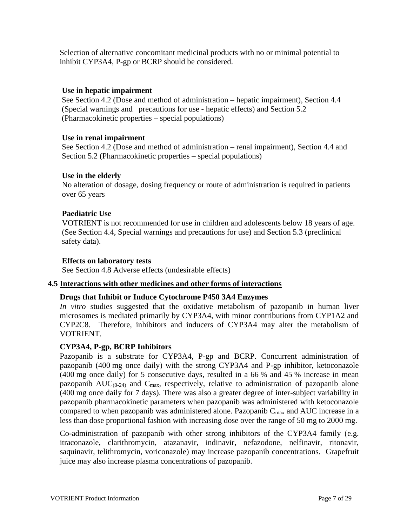Selection of alternative concomitant medicinal products with no or minimal potential to inhibit CYP3A4, P-gp or BCRP should be considered.

#### **Use in hepatic impairment**

See Section 4.2 (Dose and method of administration – hepatic impairment), Section 4.4 (Special warnings and precautions for use - hepatic effects) and Section 5.2 (Pharmacokinetic properties – special populations)

#### **Use in renal impairment**

See Section 4.2 (Dose and method of administration – renal impairment), Section 4.4 and Section 5.2 (Pharmacokinetic properties – special populations)

#### **Use in the elderly**

No alteration of dosage, dosing frequency or route of administration is required in patients over 65 years

#### **Paediatric Use**

VOTRIENT is not recommended for use in children and adolescents below 18 years of age. (See Section 4.4, Special warnings and precautions for use) and Section 5.3 (preclinical safety data).

#### **Effects on laboratory tests**

See Section 4.8 Adverse effects (undesirable effects)

#### **4.5 Interactions with other medicines and other forms of interactions**

#### **Drugs that Inhibit or Induce Cytochrome P450 3A4 Enzymes**

*In vitro* studies suggested that the oxidative metabolism of pazopanib in human liver microsomes is mediated primarily by CYP3A4, with minor contributions from CYP1A2 and CYP2C8. Therefore, inhibitors and inducers of CYP3A4 may alter the metabolism of VOTRIENT.

#### **CYP3A4, P-gp, BCRP Inhibitors**

Pazopanib is a substrate for CYP3A4, P-gp and BCRP. Concurrent administration of pazopanib (400 mg once daily) with the strong CYP3A4 and P-gp inhibitor, ketoconazole (400 mg once daily) for 5 consecutive days, resulted in a 66 % and 45 % increase in mean pazopanib  $AUC_{(0-24)}$  and  $C_{\text{max}}$ , respectively, relative to administration of pazopanib alone (400 mg once daily for 7 days). There was also a greater degree of inter-subject variability in pazopanib pharmacokinetic parameters when pazopanib was administered with ketoconazole compared to when pazopanib was administered alone. Pazopanib  $C_{\text{max}}$  and AUC increase in a less than dose proportional fashion with increasing dose over the range of 50 mg to 2000 mg.

Co-administration of pazopanib with other strong inhibitors of the CYP3A4 family (e.g. itraconazole, clarithromycin, atazanavir, indinavir, nefazodone, nelfinavir, ritonavir, saquinavir, telithromycin, voriconazole) may increase pazopanib concentrations. Grapefruit juice may also increase plasma concentrations of pazopanib.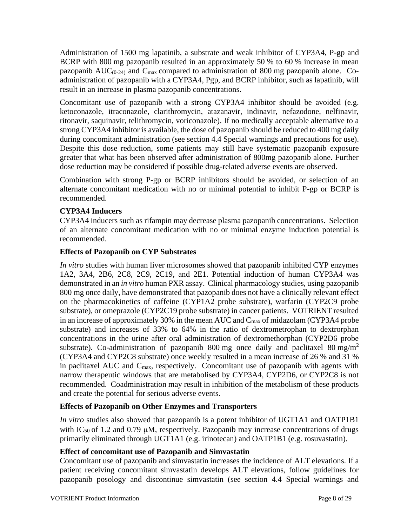Administration of 1500 mg lapatinib, a substrate and weak inhibitor of CYP3A4, P-gp and BCRP with 800 mg pazopanib resulted in an approximately 50 % to 60 % increase in mean pazopanib  $AUC_{(0-24)}$  and  $C_{\text{max}}$  compared to administration of 800 mg pazopanib alone. Coadministration of pazopanib with a CYP3A4, Pgp, and BCRP inhibitor, such as lapatinib, will result in an increase in plasma pazopanib concentrations.

Concomitant use of pazopanib with a strong CYP3A4 inhibitor should be avoided (e.g. ketoconazole, itraconazole, clarithromycin, atazanavir, indinavir, nefazodone, nelfinavir, ritonavir, saquinavir, telithromycin, voriconazole). If no medically acceptable alternative to a strong CYP3A4 inhibitor is available, the dose of pazopanib should be reduced to 400 mg daily during concomitant administration (see section 4.4 Special warnings and precautions for use). Despite this dose reduction, some patients may still have systematic pazopanib exposure greater that what has been observed after administration of 800mg pazopanib alone. Further dose reduction may be considered if possible drug-related adverse events are observed.

Combination with strong P-gp or BCRP inhibitors should be avoided, or selection of an alternate concomitant medication with no or minimal potential to inhibit P-gp or BCRP is recommended.

#### **CYP3A4 Inducers**

CYP3A4 inducers such as rifampin may decrease plasma pazopanib concentrations. Selection of an alternate concomitant medication with no or minimal enzyme induction potential is recommended.

#### **Effects of Pazopanib on CYP Substrates**

*In vitro* studies with human liver microsomes showed that pazopanib inhibited CYP enzymes 1A2, 3A4, 2B6, 2C8, 2C9, 2C19, and 2E1. Potential induction of human CYP3A4 was demonstrated in an *in vitro* human PXR assay. Clinical pharmacology studies, using pazopanib 800 mg once daily, have demonstrated that pazopanib does not have a clinically relevant effect on the pharmacokinetics of caffeine (CYP1A2 probe substrate), warfarin (CYP2C9 probe substrate), or omeprazole (CYP2C19 probe substrate) in cancer patients. VOTRIENT resulted in an increase of approximately 30% in the mean AUC and  $C_{\text{max}}$  of midazolam (CYP3A4 probe substrate) and increases of 33% to 64% in the ratio of dextrometrophan to dextrorphan concentrations in the urine after oral administration of dextromethorphan (CYP2D6 probe substrate). Co-administration of pazopanib 800 mg once daily and paclitaxel 80 mg/m<sup>2</sup> (CYP3A4 and CYP2C8 substrate) once weekly resulted in a mean increase of 26 % and 31 % in paclitaxel AUC and Cmax, respectively. Concomitant use of pazopanib with agents with narrow therapeutic windows that are metabolised by CYP3A4, CYP2D6, or CYP2C8 is not recommended. Coadministration may result in inhibition of the metabolism of these products and create the potential for serious adverse events.

#### **Effects of Pazopanib on Other Enzymes and Transporters**

*In vitro* studies also showed that pazopanib is a potent inhibitor of UGT1A1 and OATP1B1 with IC<sub>50</sub> of 1.2 and 0.79  $\mu$ M, respectively. Pazopanib may increase concentrations of drugs primarily eliminated through UGT1A1 (e.g. irinotecan) and OATP1B1 (e.g. rosuvastatin).

#### **Effect of concomitant use of Pazopanib and Simvastatin**

Concomitant use of pazopanib and simvastatin increases the incidence of ALT elevations. If a patient receiving concomitant simvastatin develops ALT elevations, follow guidelines for pazopanib posology and discontinue simvastatin (see section 4.4 Special warnings and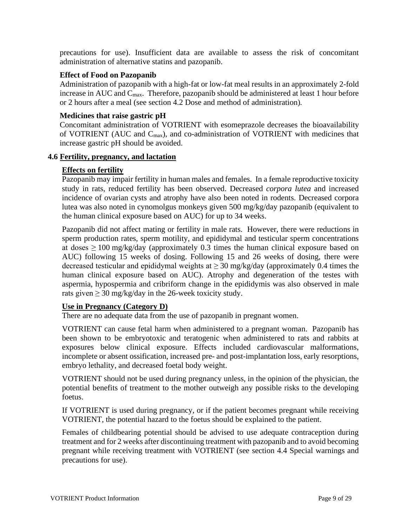precautions for use). Insufficient data are available to assess the risk of concomitant administration of alternative statins and pazopanib.

#### **Effect of Food on Pazopanib**

Administration of pazopanib with a high-fat or low-fat meal results in an approximately 2-fold increase in AUC and  $C_{\text{max}}$ . Therefore, pazopanib should be administered at least 1 hour before or 2 hours after a meal (see section 4.2 Dose and method of administration)*.*

#### **Medicines that raise gastric pH**

Concomitant administration of VOTRIENT with esomeprazole decreases the bioavailability of VOTRIENT (AUC and Cmax), and co-administration of VOTRIENT with medicines that increase gastric pH should be avoided.

#### **4.6 Fertility, pregnancy, and lactation**

#### **Effects on fertility**

Pazopanib may impair fertility in human males and females. In a female reproductive toxicity study in rats, reduced fertility has been observed. Decreased *corpora lutea* and increased incidence of ovarian cysts and atrophy have also been noted in rodents. Decreased corpora lutea was also noted in cynomolgus monkeys given 500 mg/kg/day pazopanib (equivalent to the human clinical exposure based on AUC) for up to 34 weeks.

Pazopanib did not affect mating or fertility in male rats. However, there were reductions in sperm production rates, sperm motility, and epididymal and testicular sperm concentrations at doses  $\geq 100$  mg/kg/day (approximately 0.3 times the human clinical exposure based on AUC) following 15 weeks of dosing. Following 15 and 26 weeks of dosing, there were decreased testicular and epididymal weights at  $\geq 30$  mg/kg/day (approximately 0.4 times the human clinical exposure based on AUC). Atrophy and degeneration of the testes with aspermia, hypospermia and cribriform change in the epididymis was also observed in male rats given  $\geq$  30 mg/kg/day in the 26-week toxicity study.

#### **Use in Pregnancy (Category D)**

There are no adequate data from the use of pazopanib in pregnant women.

VOTRIENT can cause fetal harm when administered to a pregnant woman. Pazopanib has been shown to be embryotoxic and teratogenic when administered to rats and rabbits at exposures below clinical exposure. Effects included cardiovascular malformations, incomplete or absent ossification, increased pre- and post-implantation loss, early resorptions, embryo lethality, and decreased foetal body weight.

VOTRIENT should not be used during pregnancy unless, in the opinion of the physician, the potential benefits of treatment to the mother outweigh any possible risks to the developing foetus.

If VOTRIENT is used during pregnancy, or if the patient becomes pregnant while receiving VOTRIENT, the potential hazard to the foetus should be explained to the patient.

Females of childbearing potential should be advised to use adequate contraception during treatment and for 2 weeks after discontinuing treatment with pazopanib and to avoid becoming pregnant while receiving treatment with VOTRIENT (see section 4.4 Special warnings and precautions for use).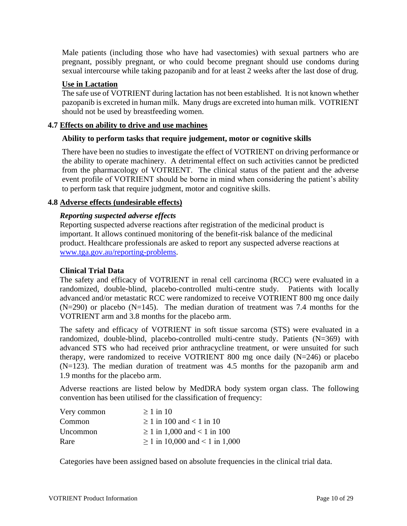Male patients (including those who have had vasectomies) with sexual partners who are pregnant, possibly pregnant, or who could become pregnant should use condoms during sexual intercourse while taking pazopanib and for at least 2 weeks after the last dose of drug.

#### **Use in Lactation**

The safe use of VOTRIENT during lactation has not been established. It is not known whether pazopanib is excreted in human milk. Many drugs are excreted into human milk. VOTRIENT should not be used by breastfeeding women.

#### **4.7 Effects on ability to drive and use machines**

#### **Ability to perform tasks that require judgement, motor or cognitive skills**

There have been no studies to investigate the effect of VOTRIENT on driving performance or the ability to operate machinery. A detrimental effect on such activities cannot be predicted from the pharmacology of VOTRIENT. The clinical status of the patient and the adverse event profile of VOTRIENT should be borne in mind when considering the patient's ability to perform task that require judgment, motor and cognitive skills.

#### **4.8 Adverse effects (undesirable effects)**

#### *Reporting suspected adverse effects*

Reporting suspected adverse reactions after registration of the medicinal product is important. It allows continued monitoring of the benefit-risk balance of the medicinal product. Healthcare professionals are asked to report any suspected adverse reactions at [www.tga.gov.au/reporting-problems.](http://www.tga.gov.au/reporting-problems)

#### **Clinical Trial Data**

The safety and efficacy of VOTRIENT in renal cell carcinoma (RCC) were evaluated in a randomized, double-blind, placebo-controlled multi-centre study. Patients with locally advanced and/or metastatic RCC were randomized to receive VOTRIENT 800 mg once daily  $(N=290)$  or placebo  $(N=145)$ . The median duration of treatment was 7.4 months for the VOTRIENT arm and 3.8 months for the placebo arm.

The safety and efficacy of VOTRIENT in soft tissue sarcoma (STS) were evaluated in a randomized, double-blind, placebo-controlled multi-centre study. Patients (N=369) with advanced STS who had received prior anthracycline treatment, or were unsuited for such therapy, were randomized to receive VOTRIENT 800 mg once daily (N=246) or placebo (N=123). The median duration of treatment was 4.5 months for the pazopanib arm and 1.9 months for the placebo arm.

Adverse reactions are listed below by MedDRA body system organ class. The following convention has been utilised for the classification of frequency:

| Very common | $\geq 1$ in 10                      |
|-------------|-------------------------------------|
| Common      | $\geq 1$ in 100 and < 1 in 10       |
| Uncommon    | $\geq 1$ in 1,000 and < 1 in 100    |
| Rare        | $\geq$ 1 in 10,000 and < 1 in 1,000 |

Categories have been assigned based on absolute frequencies in the clinical trial data.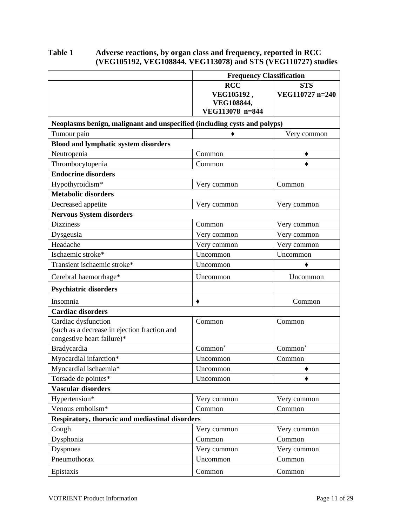#### **Table 1 Adverse reactions, by organ class and frequency, reported in RCC (VEG105192, VEG108844. VEG113078) and STS (VEG110727) studies**

|                                                                                                   | <b>Frequency Classification</b>                           |                               |  |
|---------------------------------------------------------------------------------------------------|-----------------------------------------------------------|-------------------------------|--|
|                                                                                                   | <b>RCC</b><br>VEG105192,<br>VEG108844,<br>VEG113078 n=844 | <b>STS</b><br>VEG110727 n=240 |  |
| Neoplasms benign, malignant and unspecified (including cysts and polyps)                          |                                                           |                               |  |
| Tumour pain                                                                                       |                                                           | Very common                   |  |
| <b>Blood and lymphatic system disorders</b>                                                       |                                                           |                               |  |
| Neutropenia                                                                                       | Common                                                    |                               |  |
| Thrombocytopenia                                                                                  | Common                                                    |                               |  |
| <b>Endocrine disorders</b>                                                                        |                                                           |                               |  |
| Hypothyroidism*                                                                                   | Very common                                               | Common                        |  |
| <b>Metabolic disorders</b>                                                                        |                                                           |                               |  |
| Decreased appetite                                                                                | Very common                                               | Very common                   |  |
| <b>Nervous System disorders</b>                                                                   |                                                           |                               |  |
| <b>Dizziness</b>                                                                                  | Common                                                    | Very common                   |  |
| Dysgeusia                                                                                         | Very common                                               | Very common                   |  |
| Headache                                                                                          | Very common                                               | Very common                   |  |
| Ischaemic stroke*                                                                                 | Uncommon                                                  | Uncommon                      |  |
| Transient ischaemic stroke*                                                                       | Uncommon                                                  |                               |  |
| Cerebral haemorrhage*                                                                             | Uncommon                                                  | Uncommon                      |  |
| <b>Psychiatric disorders</b>                                                                      |                                                           |                               |  |
| Insomnia                                                                                          |                                                           | Common                        |  |
| <b>Cardiac disorders</b>                                                                          |                                                           |                               |  |
| Cardiac dysfunction<br>(such as a decrease in ejection fraction and<br>congestive heart failure)* | Common                                                    | Common                        |  |
| Bradycardia                                                                                       | Common <sup>†</sup>                                       | Common <sup>†</sup>           |  |
| Myocardial infarction*                                                                            | Uncommon                                                  | Common                        |  |
| Myocardial ischaemia*                                                                             | Uncommon                                                  |                               |  |
| Torsade de pointes*                                                                               | Uncommon                                                  |                               |  |
| <b>Vascular disorders</b>                                                                         |                                                           |                               |  |
| Hypertension*                                                                                     | Very common                                               | Very common                   |  |
| Venous embolism*                                                                                  | Common                                                    | Common                        |  |
| Respiratory, thoracic and mediastinal disorders                                                   |                                                           |                               |  |
| Cough                                                                                             | Very common                                               | Very common                   |  |
| Dysphonia                                                                                         | Common                                                    | Common                        |  |
| Dyspnoea                                                                                          | Very common                                               | Very common                   |  |
| Pneumothorax                                                                                      | Uncommon                                                  | Common                        |  |
| Epistaxis                                                                                         | Common                                                    | Common                        |  |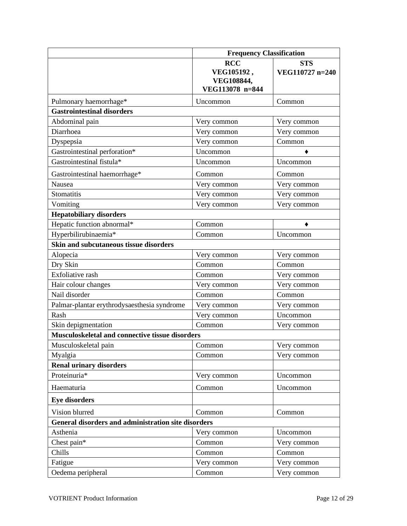|                                                     | <b>Frequency Classification</b>                           |                               |  |
|-----------------------------------------------------|-----------------------------------------------------------|-------------------------------|--|
|                                                     | <b>RCC</b><br>VEG105192,<br>VEG108844,<br>VEG113078 n=844 | <b>STS</b><br>VEG110727 n=240 |  |
| Pulmonary haemorrhage*                              | Uncommon                                                  | Common                        |  |
| <b>Gastrointestinal disorders</b>                   |                                                           |                               |  |
| Abdominal pain                                      | Very common                                               | Very common                   |  |
| Diarrhoea                                           | Very common                                               | Very common                   |  |
| Dyspepsia                                           | Very common                                               | Common                        |  |
| Gastrointestinal perforation*                       | Uncommon                                                  |                               |  |
| Gastrointestinal fistula*                           | Uncommon                                                  | Uncommon                      |  |
| Gastrointestinal haemorrhage*                       | Common                                                    | Common                        |  |
| Nausea                                              | Very common                                               | Very common                   |  |
| <b>Stomatitis</b>                                   | Very common                                               | Very common                   |  |
| Vomiting                                            | Very common                                               | Very common                   |  |
| <b>Hepatobiliary disorders</b>                      |                                                           |                               |  |
| Hepatic function abnormal*                          | Common                                                    |                               |  |
| Hyperbilirubinaemia*                                | Common                                                    | Uncommon                      |  |
| Skin and subcutaneous tissue disorders              |                                                           |                               |  |
| Alopecia                                            | Very common                                               | Very common                   |  |
| Dry Skin                                            | Common                                                    | Common                        |  |
| Exfoliative rash                                    | Common                                                    | Very common                   |  |
| Hair colour changes                                 | Very common                                               | Very common                   |  |
| Nail disorder                                       | Common                                                    | Common                        |  |
| Palmar-plantar erythrodysaesthesia syndrome         | Very common                                               | Very common                   |  |
| Rash                                                | Very common                                               | Uncommon                      |  |
| Skin depigmentation                                 | Common                                                    | Very common                   |  |
| Musculoskeletal and connective tissue disorders     |                                                           |                               |  |
| Musculoskeletal pain                                | Common                                                    | Very common                   |  |
| Myalgia                                             | Common                                                    | Very common                   |  |
| <b>Renal urinary disorders</b>                      |                                                           |                               |  |
| Proteinuria*                                        | Very common                                               | Uncommon                      |  |
| Haematuria                                          | Common                                                    | Uncommon                      |  |
| <b>Eye disorders</b>                                |                                                           |                               |  |
| Vision blurred                                      | Common                                                    | Common                        |  |
| General disorders and administration site disorders |                                                           |                               |  |
| Asthenia                                            | Very common                                               | Uncommon                      |  |
| Chest pain*                                         | Common                                                    | Very common                   |  |
| Chills                                              | Common                                                    | Common                        |  |
| Fatigue                                             | Very common                                               | Very common                   |  |
| Oedema peripheral                                   | Common                                                    | Very common                   |  |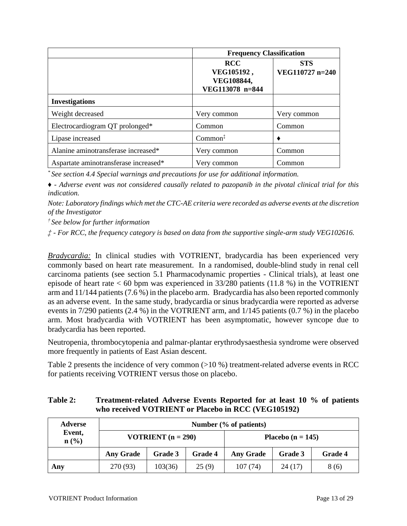|                                       | <b>Frequency Classification</b> |                               |  |  |
|---------------------------------------|---------------------------------|-------------------------------|--|--|
|                                       | <b>RCC</b><br>VEG105192,        | <b>STS</b><br>VEG110727 n=240 |  |  |
|                                       | VEG108844,<br>VEG113078 n=844   |                               |  |  |
| <b>Investigations</b>                 |                                 |                               |  |  |
| Weight decreased                      | Very common                     | Very common                   |  |  |
| Electrocardiogram QT prolonged*       | Common                          | Common                        |  |  |
| Lipase increased                      | Common <sup>‡</sup>             |                               |  |  |
| Alanine aminotransferase increased*   | Very common                     | Common                        |  |  |
| Aspartate aminotransferase increased* | Very common                     | Common                        |  |  |

*\* See section 4.4 Special warnings and precautions for use for additional information.*

*♦ - Adverse event was not considered causally related to pazopanib in the pivotal clinical trial for this indication.*

*Note: Laboratory findings which met the CTC-AE criteria were recorded as adverse events at the discretion of the Investigator*

*† See below for further information*

*‡ - For RCC, the frequency category is based on data from the supportive single-arm study VEG102616.*

*Bradycardia:* In clinical studies with VOTRIENT, bradycardia has been experienced very commonly based on heart rate measurement. In a randomised, double-blind study in renal cell carcinoma patients (see section 5.1 Pharmacodynamic properties - Clinical trials), at least one episode of heart rate  $< 60$  bpm was experienced in 33/280 patients (11.8 %) in the VOTRIENT arm and 11/144 patients (7.6 %) in the placebo arm. Bradycardia has also been reported commonly as an adverse event. In the same study, bradycardia or sinus bradycardia were reported as adverse events in 7/290 patients (2.4 %) in the VOTRIENT arm, and 1/145 patients (0.7 %) in the placebo arm. Most bradycardia with VOTRIENT has been asymptomatic, however syncope due to bradycardia has been reported.

Neutropenia, thrombocytopenia and palmar-plantar erythrodysaesthesia syndrome were observed more frequently in patients of East Asian descent.

Table 2 presents the incidence of very common (>10 %) treatment-related adverse events in RCC for patients receiving VOTRIENT versus those on placebo.

#### **Table 2: Treatment-related Adverse Events Reported for at least 10 % of patients who received VOTRIENT or Placebo in RCC (VEG105192)**

| <b>Adverse</b> | Number (% of patients)      |         |                |                       |         |         |
|----------------|-----------------------------|---------|----------------|-----------------------|---------|---------|
| Event,<br>n(%) | <b>VOTRIENT</b> $(n = 290)$ |         |                | Placebo ( $n = 145$ ) |         |         |
|                | <b>Any Grade</b>            | Grade 3 | <b>Grade 4</b> | <b>Any Grade</b>      | Grade 3 | Grade 4 |
| Any            | 270 (93)                    | 103(36) | 25(9)          | 107(74)               | 24(17)  | 8(6)    |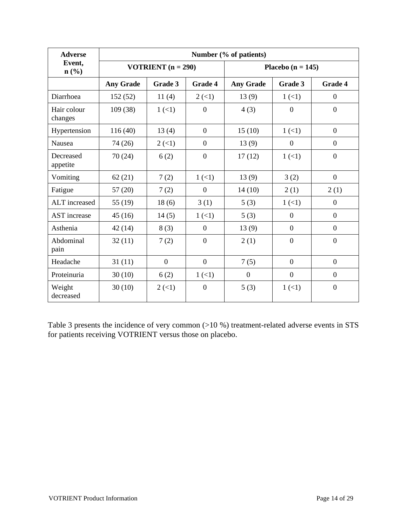| <b>Adverse</b>         | Number (% of patients)      |                           |                           |                       |                |                |
|------------------------|-----------------------------|---------------------------|---------------------------|-----------------------|----------------|----------------|
| Event,<br>n(%)         | <b>VOTRIENT</b> $(n = 290)$ |                           |                           | Placebo ( $n = 145$ ) |                |                |
|                        | <b>Any Grade</b>            | Grade 3                   | <b>Grade 4</b>            | <b>Any Grade</b>      | Grade 3        | <b>Grade 4</b> |
| Diarrhoea              | 152(52)                     | 11(4)                     | $2 \left( \leq 1 \right)$ | 13(9)                 | 1(1)           | $\overline{0}$ |
| Hair colour<br>changes | 109 (38)                    | $1 (\leq 1)$              | $\Omega$                  | 4(3)                  | $\Omega$       | $\overline{0}$ |
| Hypertension           | 116(40)                     | 13(4)                     | $\overline{0}$            | 15(10)                | 1(1)           | $\theta$       |
| Nausea                 | 74 (26)                     | $2 \left( \leq 1 \right)$ | $\overline{0}$            | 13(9)                 | $\theta$       | $\mathbf{0}$   |
| Decreased<br>appetite  | 70(24)                      | 6(2)                      | $\overline{0}$            | 17(12)                | 1(1)           | $\overline{0}$ |
| Vomiting               | 62(21)                      | 7(2)                      | 1(1)                      | 13(9)                 | 3(2)           | $\overline{0}$ |
| Fatigue                | 57(20)                      | 7(2)                      | $\overline{0}$            | 14(10)                | 2(1)           | 2(1)           |
| ALT increased          | 55 (19)                     | 18(6)                     | 3(1)                      | 5(3)                  | 1(1)           | $\overline{0}$ |
| <b>AST</b> increase    | 45(16)                      | 14(5)                     | 1(1)                      | 5(3)                  | $\theta$       | $\overline{0}$ |
| Asthenia               | 42(14)                      | 8(3)                      | $\Omega$                  | 13(9)                 | $\overline{0}$ | $\overline{0}$ |
| Abdominal<br>pain      | 32(11)                      | 7(2)                      | $\overline{0}$            | 2(1)                  | $\overline{0}$ | $\overline{0}$ |
| Headache               | 31(11)                      | $\overline{0}$            | $\overline{0}$            | 7(5)                  | $\theta$       | $\theta$       |
| Proteinuria            | 30(10)                      | 6(2)                      | 1(1)                      | $\mathbf{0}$          | $\theta$       | $\theta$       |
| Weight<br>decreased    | 30(10)                      | $2 \left( \leq 1 \right)$ | $\Omega$                  | 5(3)                  | 1(1)           | $\theta$       |

Table 3 presents the incidence of very common (>10 %) treatment-related adverse events in STS for patients receiving VOTRIENT versus those on placebo.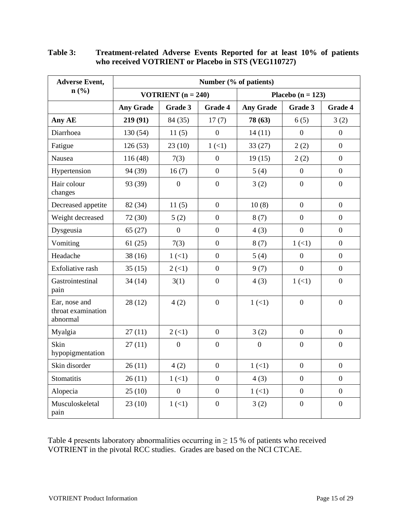| <b>Adverse Event,</b>                           | Number (% of patients) |                             |                  |                  |                       |                  |  |  |
|-------------------------------------------------|------------------------|-----------------------------|------------------|------------------|-----------------------|------------------|--|--|
| $n\left(\frac{0}{0}\right)$                     |                        | <b>VOTRIENT</b> $(n = 240)$ |                  |                  | Placebo ( $n = 123$ ) |                  |  |  |
|                                                 | <b>Any Grade</b>       | Grade 3                     | <b>Grade 4</b>   | <b>Any Grade</b> | Grade 3               | <b>Grade 4</b>   |  |  |
| Any AE                                          | 219 (91)               | 84 (35)                     | 17(7)            | 78 (63)          | 6(5)                  | 3(2)             |  |  |
| Diarrhoea                                       | 130(54)                | 11(5)                       | $\boldsymbol{0}$ | 14(11)           | $\overline{0}$        | $\overline{0}$   |  |  |
| Fatigue                                         | 126(53)                | 23(10)                      | 1(1)             | 33(27)           | 2(2)                  | $\overline{0}$   |  |  |
| Nausea                                          | 116(48)                | 7(3)                        | $\overline{0}$   | 19(15)           | 2(2)                  | $\overline{0}$   |  |  |
| Hypertension                                    | 94 (39)                | 16(7)                       | $\overline{0}$   | 5(4)             | $\overline{0}$        | $\overline{0}$   |  |  |
| Hair colour<br>changes                          | 93 (39)                | $\boldsymbol{0}$            | $\overline{0}$   | 3(2)             | $\overline{0}$        | $\overline{0}$   |  |  |
| Decreased appetite                              | 82 (34)                | 11(5)                       | $\overline{0}$   | 10(8)            | $\overline{0}$        | $\overline{0}$   |  |  |
| Weight decreased                                | 72 (30)                | 5(2)                        | $\Omega$         | 8(7)             | $\theta$              | $\Omega$         |  |  |
| Dysgeusia                                       | 65(27)                 | $\overline{0}$              | $\overline{0}$   | 4(3)             | $\overline{0}$        | $\overline{0}$   |  |  |
| Vomiting                                        | 61(25)                 | 7(3)                        | $\overline{0}$   | 8(7)             | 1(1)                  | $\overline{0}$   |  |  |
| Headache                                        | 38(16)                 | 1(1)                        | $\Omega$         | 5(4)             | $\boldsymbol{0}$      | $\boldsymbol{0}$ |  |  |
| Exfoliative rash                                | 35(15)                 | $2 \left( \leq 1 \right)$   | $\boldsymbol{0}$ | 9(7)             | $\overline{0}$        | $\Omega$         |  |  |
| Gastrointestinal<br>pain                        | 34(14)                 | 3(1)                        | $\overline{0}$   | 4(3)             | 1(1)                  | $\overline{0}$   |  |  |
| Ear, nose and<br>throat examination<br>abnormal | 28(12)                 | 4(2)                        | $\overline{0}$   | 1(1)             | $\boldsymbol{0}$      | $\overline{0}$   |  |  |
| Myalgia                                         | 27(11)                 | $2 \left( \leq 1 \right)$   | $\overline{0}$   | 3(2)             | $\overline{0}$        | $\overline{0}$   |  |  |
| Skin<br>hypopigmentation                        | 27(11)                 | $\overline{0}$              | $\boldsymbol{0}$ | $\overline{0}$   | $\boldsymbol{0}$      | $\overline{0}$   |  |  |
| Skin disorder                                   | 26(11)                 | 4(2)                        | $\theta$         | 1(1)             | $\boldsymbol{0}$      | $\overline{0}$   |  |  |
| Stomatitis                                      | 26(11)                 | 1(1)                        | $\Omega$         | 4(3)             | $\overline{0}$        | $\overline{0}$   |  |  |
| Alopecia                                        | 25(10)                 | $\overline{0}$              | $\boldsymbol{0}$ | $1 (\leq 1)$     | $\boldsymbol{0}$      | $\Omega$         |  |  |
| Musculoskeletal<br>pain                         | 23(10)                 | 1(1)                        | $\boldsymbol{0}$ | 3(2)             | $\boldsymbol{0}$      | $\boldsymbol{0}$ |  |  |

**Table 3: Treatment-related Adverse Events Reported for at least 10% of patients who received VOTRIENT or Placebo in STS (VEG110727)**

Table 4 presents laboratory abnormalities occurring in  $\geq$  15 % of patients who received VOTRIENT in the pivotal RCC studies. Grades are based on the NCI CTCAE.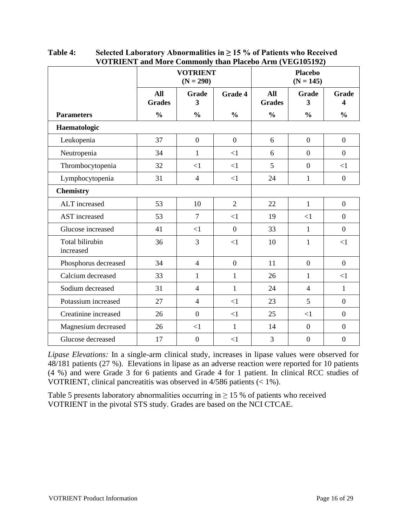|                              | <b>VOTRIENT</b><br>$(N = 290)$ |                  |                | <b>Placebo</b><br>$(N = 145)$ |                                  |                  |
|------------------------------|--------------------------------|------------------|----------------|-------------------------------|----------------------------------|------------------|
|                              | <b>All</b><br><b>Grades</b>    | Grade<br>3       | Grade 4        | <b>All</b><br><b>Grades</b>   | Grade<br>$\overline{\mathbf{3}}$ | Grade<br>4       |
| <b>Parameters</b>            | $\frac{0}{0}$                  | $\frac{0}{0}$    | $\frac{0}{0}$  | $\frac{0}{0}$                 | $\frac{0}{0}$                    | $\frac{0}{0}$    |
| Haematologic                 |                                |                  |                |                               |                                  |                  |
| Leukopenia                   | 37                             | $\boldsymbol{0}$ | $\mathbf{0}$   | 6                             | $\overline{0}$                   | $\overline{0}$   |
| Neutropenia                  | 34                             | $\mathbf{1}$     | $\leq$ 1       | 6                             | $\overline{0}$                   | $\overline{0}$   |
| Thrombocytopenia             | 32                             | $\leq$ 1         | <1             | 5                             | $\boldsymbol{0}$                 | $\leq$ 1         |
| Lymphocytopenia              | 31                             | $\overline{4}$   | <1             | 24                            | $\mathbf{1}$                     | $\overline{0}$   |
| <b>Chemistry</b>             |                                |                  |                |                               |                                  |                  |
| ALT increased                | 53                             | 10               | $\overline{2}$ | 22                            | $\mathbf{1}$                     | $\boldsymbol{0}$ |
| <b>AST</b> increased         | 53                             | $\overline{7}$   | <1             | 19                            | <1                               | $\overline{0}$   |
| Glucose increased            | 41                             | $\leq$ 1         | $\overline{0}$ | 33                            | $\mathbf{1}$                     | $\overline{0}$   |
| Total bilirubin<br>increased | 36                             | 3                | $\leq$ 1       | 10                            | $\mathbf{1}$                     | $\leq$ 1         |
| Phosphorus decreased         | 34                             | $\overline{4}$   | $\overline{0}$ | 11                            | $\boldsymbol{0}$                 | $\overline{0}$   |
| Calcium decreased            | 33                             | $\mathbf{1}$     | $\mathbf{1}$   | 26                            | $\mathbf{1}$                     | $\leq$ 1         |
| Sodium decreased             | 31                             | $\overline{4}$   | $\mathbf{1}$   | 24                            | $\overline{4}$                   | $\mathbf{1}$     |
| Potassium increased          | 27                             | $\overline{4}$   | $\leq$ 1       | 23                            | 5                                | $\overline{0}$   |
| Creatinine increased         | 26                             | $\overline{0}$   | ${<}1$         | 25                            | $\leq$ 1                         | $\overline{0}$   |
| Magnesium decreased          | 26                             | $\leq$ 1         | $\mathbf{1}$   | 14                            | $\boldsymbol{0}$                 | $\boldsymbol{0}$ |
| Glucose decreased            | 17                             | $\boldsymbol{0}$ | $\leq$ 1       | 3                             | $\mathbf{0}$                     | $\boldsymbol{0}$ |

| Table 4: | Selected Laboratory Abnormalities in $\geq$ 15 % of Patients who Received |
|----------|---------------------------------------------------------------------------|
|          | <b>VOTRIENT</b> and More Commonly than Placebo Arm (VEG105192)            |

*Lipase Elevations:* In a single-arm clinical study, increases in lipase values were observed for 48/181 patients (27 %). Elevations in lipase as an adverse reaction were reported for 10 patients (4 %) and were Grade 3 for 6 patients and Grade 4 for 1 patient. In clinical RCC studies of VOTRIENT, clinical pancreatitis was observed in 4/586 patients (< 1%).

Table 5 presents laboratory abnormalities occurring in  $\geq$  15 % of patients who received VOTRIENT in the pivotal STS study. Grades are based on the NCI CTCAE.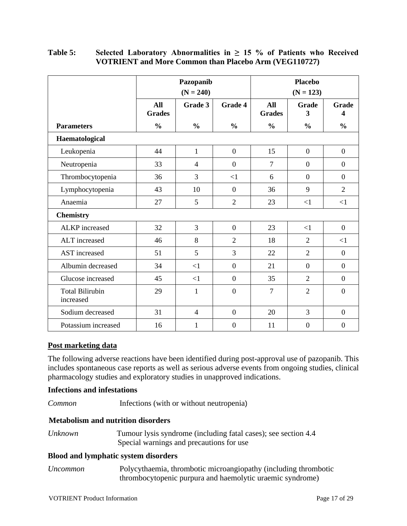|                                     | Pazopanib<br>$(N = 240)$ |                |                  |                      | <b>Placebo</b><br>$(N = 123)$ |                   |
|-------------------------------------|--------------------------|----------------|------------------|----------------------|-------------------------------|-------------------|
|                                     | All<br><b>Grades</b>     | Grade 3        | <b>Grade 4</b>   | All<br><b>Grades</b> | <b>Grade</b><br>3             | <b>Grade</b><br>4 |
| <b>Parameters</b>                   | $\frac{0}{0}$            | $\frac{0}{0}$  | $\frac{0}{0}$    | $\frac{0}{0}$        | $\frac{0}{0}$                 | $\frac{0}{0}$     |
| Haematological                      |                          |                |                  |                      |                               |                   |
| Leukopenia                          | 44                       | $\mathbf{1}$   | $\overline{0}$   | 15                   | $\boldsymbol{0}$              | $\boldsymbol{0}$  |
| Neutropenia                         | 33                       | $\overline{4}$ | $\overline{0}$   | $\overline{7}$       | $\boldsymbol{0}$              | $\boldsymbol{0}$  |
| Thrombocytopenia                    | 36                       | 3              | <1               | 6                    | $\overline{0}$                | $\overline{0}$    |
| Lymphocytopenia                     | 43                       | 10             | $\overline{0}$   | 36                   | 9                             | $\overline{2}$    |
| Anaemia                             | 27                       | 5              | $\overline{2}$   | 23                   | $<$ 1                         | <1                |
| <b>Chemistry</b>                    |                          |                |                  |                      |                               |                   |
| <b>ALKP</b> increased               | 32                       | 3              | $\overline{0}$   | 23                   | $<$ 1                         | $\overline{0}$    |
| ALT increased                       | 46                       | 8              | $\overline{2}$   | 18                   | $\overline{2}$                | $<$ 1             |
| <b>AST</b> increased                | 51                       | 5              | $\overline{3}$   | 22                   | $\overline{2}$                | $\overline{0}$    |
| Albumin decreased                   | 34                       | $\leq$ 1       | $\boldsymbol{0}$ | 21                   | $\boldsymbol{0}$              | $\boldsymbol{0}$  |
| Glucose increased                   | 45                       | $\leq$ 1       | $\boldsymbol{0}$ | 35                   | $\overline{2}$                | $\overline{0}$    |
| <b>Total Bilirubin</b><br>increased | 29                       | $\mathbf{1}$   | $\overline{0}$   | $\overline{7}$       | $\overline{2}$                | $\overline{0}$    |
| Sodium decreased                    | 31                       | $\overline{4}$ | $\boldsymbol{0}$ | 20                   | $\overline{3}$                | $\boldsymbol{0}$  |
| Potassium increased                 | 16                       | $\mathbf{1}$   | $\overline{0}$   | 11                   | $\overline{0}$                | $\overline{0}$    |

#### **Table 5: Selected Laboratory Abnormalities in ≥ 15 % of Patients who Received VOTRIENT and More Common than Placebo Arm (VEG110727)**

#### **Post marketing data**

The following adverse reactions have been identified during post-approval use of pazopanib. This includes spontaneous case reports as well as serious adverse events from ongoing studies, clinical pharmacology studies and exploratory studies in unapproved indications.

#### **Infections and infestations**

*Common* Infections (with or without neutropenia)

#### **Metabolism and nutrition disorders**

| Unknown | Tumour lysis syndrome (including fatal cases); see section 4.4 |
|---------|----------------------------------------------------------------|
|         | Special warnings and precautions for use                       |

#### **Blood and lymphatic system disorders**

*Uncommon* Polycythaemia, thrombotic microangiopathy (including thrombotic thrombocytopenic purpura and haemolytic uraemic syndrome)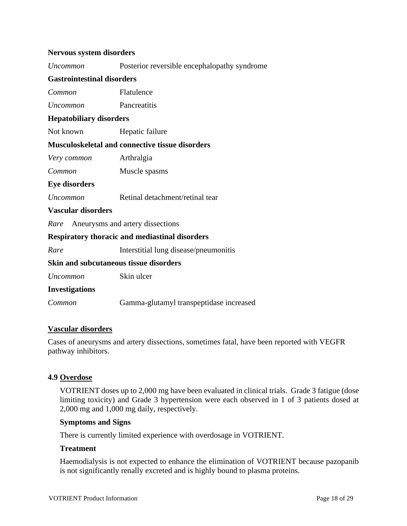#### **Nervous system disorders**

| Uncommon                               | Posterior reversible encephalopathy syndrome           |  |  |  |
|----------------------------------------|--------------------------------------------------------|--|--|--|
| <b>Gastrointestinal disorders</b>      |                                                        |  |  |  |
| Common                                 | Flatulence                                             |  |  |  |
| Uncommon                               | Pancreatitis                                           |  |  |  |
| <b>Hepatobiliary disorders</b>         |                                                        |  |  |  |
| Not known                              | Hepatic failure                                        |  |  |  |
|                                        | <b>Musculoskeletal and connective tissue disorders</b> |  |  |  |
| Very common                            | Arthralgia                                             |  |  |  |
| Common                                 | Muscle spasms                                          |  |  |  |
| <b>Eye disorders</b>                   |                                                        |  |  |  |
| <b>Uncommon</b>                        | Retinal detachment/retinal tear                        |  |  |  |
| Vascular disorders                     |                                                        |  |  |  |
| Rare Aneurysms and artery dissections  |                                                        |  |  |  |
|                                        | <b>Respiratory thoracic and mediastinal disorders</b>  |  |  |  |
| Rare                                   | Interstitial lung disease/pneumonitis                  |  |  |  |
| Skin and subcutaneous tissue disorders |                                                        |  |  |  |
| Uncommon                               | Skin ulcer                                             |  |  |  |
| <b>Investigations</b>                  |                                                        |  |  |  |
|                                        |                                                        |  |  |  |

*Common* Gamma-glutamyl transpeptidase increased

#### **Vascular disorders**

Cases of aneurysms and artery dissections, sometimes fatal, have been reported with VEGFR pathway inhibitors.

#### **4.9 Overdose**

VOTRIENT doses up to 2,000 mg have been evaluated in clinical trials. Grade 3 fatigue (dose limiting toxicity) and Grade 3 hypertension were each observed in 1 of 3 patients dosed at 2,000 mg and 1,000 mg daily, respectively.

#### **Symptoms and Signs**

There is currently limited experience with overdosage in VOTRIENT.

#### **Treatment**

Haemodialysis is not expected to enhance the elimination of VOTRIENT because pazopanib is not significantly renally excreted and is highly bound to plasma proteins.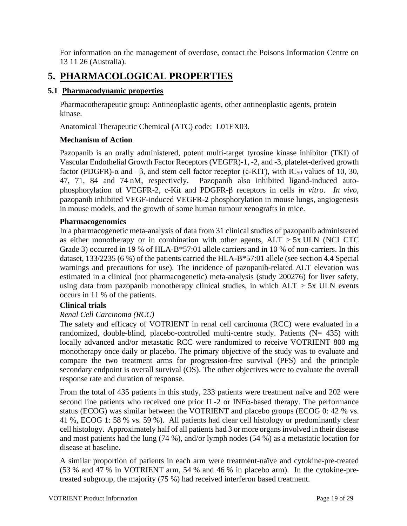For information on the management of overdose, contact the Poisons Information Centre on 13 11 26 (Australia).

### **5. PHARMACOLOGICAL PROPERTIES**

#### **5.1 Pharmacodynamic properties**

Pharmacotherapeutic group: Antineoplastic agents, other antineoplastic agents, protein kinase.

Anatomical Therapeutic Chemical (ATC) code: L01EX03.

#### **Mechanism of Action**

Pazopanib is an orally administered, potent multi-target tyrosine kinase inhibitor (TKI) of Vascular Endothelial Growth Factor Receptors (VEGFR)-1, -2, and -3, platelet-derived growth factor (PDGFR)- $\alpha$  and  $-\beta$ , and stem cell factor receptor (c-KIT), with IC<sub>50</sub> values of 10, 30, 47, 71, 84 and 74 nM, respectively. Pazopanib also inhibited ligand-induced autophosphorylation of VEGFR-2, c-Kit and PDGFR- $\beta$  receptors in cells *in vitro*. *In vivo*, pazopanib inhibited VEGF-induced VEGFR-2 phosphorylation in mouse lungs, angiogenesis in mouse models, and the growth of some human tumour xenografts in mice.

#### **Pharmacogenomics**

In a pharmacogenetic meta-analysis of data from 31 clinical studies of pazopanib administered as either monotherapy or in combination with other agents,  $ALT > 5x$  ULN (NCI CTC Grade 3) occurred in 19 % of HLA-B\*57:01 allele carriers and in 10 % of non-carriers. In this dataset, 133/2235 (6 %) of the patients carried the HLA-B\*57:01 allele (see section 4.4 Special warnings and precautions for use). The incidence of pazopanib-related ALT elevation was estimated in a clinical (not pharmacogenetic) meta-analysis (study 200276) for liver safety, using data from pazopanib monotherapy clinical studies, in which  $ALT > 5x$  ULN events occurs in 11 % of the patients.

#### **Clinical trials**

#### *Renal Cell Carcinoma (RCC)*

The safety and efficacy of VOTRIENT in renal cell carcinoma (RCC) were evaluated in a randomized, double-blind, placebo-controlled multi-centre study. Patients  $(N= 435)$  with locally advanced and/or metastatic RCC were randomized to receive VOTRIENT 800 mg monotherapy once daily or placebo. The primary objective of the study was to evaluate and compare the two treatment arms for progression-free survival (PFS) and the principle secondary endpoint is overall survival (OS). The other objectives were to evaluate the overall response rate and duration of response.

From the total of 435 patients in this study, 233 patients were treatment naïve and 202 were second line patients who received one prior IL-2 or INF $\alpha$ -based therapy. The performance status (ECOG) was similar between the VOTRIENT and placebo groups (ECOG 0: 42 % vs. 41 %, ECOG 1: 58 % vs. 59 %). All patients had clear cell histology or predominantly clear cell histology. Approximately half of all patients had 3 or more organs involved in their disease and most patients had the lung (74 %), and/or lymph nodes (54 %) as a metastatic location for disease at baseline.

A similar proportion of patients in each arm were treatment-naïve and cytokine-pre-treated (53 % and 47 % in VOTRIENT arm, 54 % and 46 % in placebo arm). In the cytokine-pretreated subgroup, the majority (75 %) had received interferon based treatment.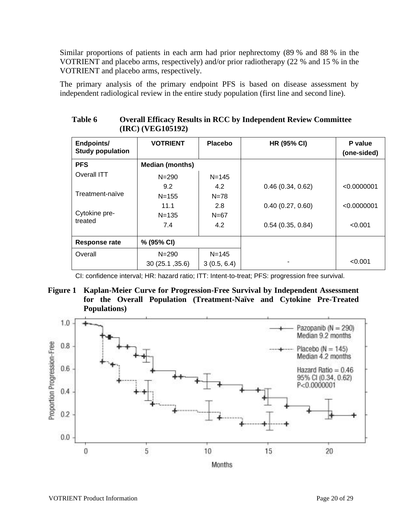Similar proportions of patients in each arm had prior nephrectomy (89 % and 88 % in the VOTRIENT and placebo arms, respectively) and/or prior radiotherapy (22 % and 15 % in the VOTRIENT and placebo arms, respectively.

The primary analysis of the primary endpoint PFS is based on disease assessment by independent radiological review in the entire study population (first line and second line).

| Endpoints/<br><b>Study population</b> | <b>VOTRIENT</b>        | <b>Placebo</b> | <b>HR (95% CI)</b> | P value<br>(one-sided) |
|---------------------------------------|------------------------|----------------|--------------------|------------------------|
| <b>PFS</b>                            | <b>Median (months)</b> |                |                    |                        |
| Overall ITT                           | $N = 290$              | $N = 145$      |                    |                        |
| Treatment-naïve                       | 9.2                    | 4.2            | 0.46(0.34, 0.62)   | < 0.0000001            |
|                                       | $N = 155$              | $N = 78$       |                    |                        |
|                                       | 11.1                   | 2.8            | 0.40(0.27, 0.60)   | < 0.0000001            |
| Cytokine pre-<br>treated              | $N = 135$              | $N = 67$       |                    |                        |
|                                       | 7.4                    | 4.2            | 0.54(0.35, 0.84)   | < 0.001                |
| Response rate                         | % (95% CI)             |                |                    |                        |
| Overall                               | $N = 290$              | $N = 145$      |                    |                        |
|                                       | 30 (25.1, 35.6)        | 3(0.5, 6.4)    |                    | < 0.001                |

**Table 6 Overall Efficacy Results in RCC by Independent Review Committee (IRC) (VEG105192)**

CI: confidence interval; HR: hazard ratio; ITT: Intent-to-treat; PFS: progression free survival.

**Figure 1 Kaplan-Meier Curve for Progression-Free Survival by Independent Assessment for the Overall Population (Treatment-Naïve and Cytokine Pre-Treated Populations)**

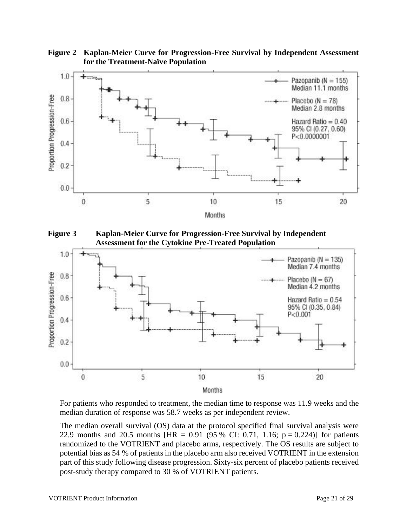**Figure 2 Kaplan-Meier Curve for Progression-Free Survival by Independent Assessment for the Treatment-Naïve Population**



**Figure 3 Kaplan-Meier Curve for Progression-Free Survival by Independent Assessment for the Cytokine Pre-Treated Population**



For patients who responded to treatment, the median time to response was 11.9 weeks and the median duration of response was 58.7 weeks as per independent review.

The median overall survival (OS) data at the protocol specified final survival analysis were 22.9 months and 20.5 months [HR = 0.91 (95 % CI: 0.71, 1.16;  $p = 0.224$ )] for patients randomized to the VOTRIENT and placebo arms, respectively. The OS results are subject to potential bias as 54 % of patients in the placebo arm also received VOTRIENT in the extension part of this study following disease progression. Sixty-six percent of placebo patients received post-study therapy compared to 30 % of VOTRIENT patients.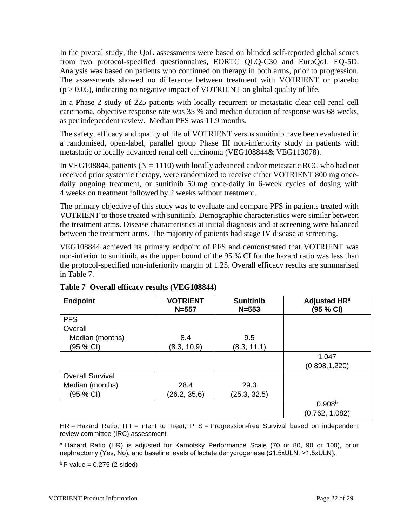In the pivotal study, the QoL assessments were based on blinded self-reported global scores from two protocol-specified questionnaires, EORTC QLQ-C30 and EuroQoL EQ-5D. Analysis was based on patients who continued on therapy in both arms, prior to progression. The assessments showed no difference between treatment with VOTRIENT or placebo  $(p > 0.05)$ , indicating no negative impact of VOTRIENT on global quality of life.

In a Phase 2 study of 225 patients with locally recurrent or metastatic clear cell renal cell carcinoma, objective response rate was 35 % and median duration of response was 68 weeks, as per independent review. Median PFS was 11.9 months.

The safety, efficacy and quality of life of VOTRIENT versus sunitinib have been evaluated in a randomised, open-label, parallel group Phase III non-inferiority study in patients with metastatic or locally advanced renal cell carcinoma (VEG108844& VEG113078).

In VEG108844, patients ( $N = 1110$ ) with locally advanced and/or metastatic RCC who had not received prior systemic therapy, were randomized to receive either VOTRIENT 800 mg oncedaily ongoing treatment, or sunitinib 50 mg once-daily in 6-week cycles of dosing with 4 weeks on treatment followed by 2 weeks without treatment.

The primary objective of this study was to evaluate and compare PFS in patients treated with VOTRIENT to those treated with sunitinib. Demographic characteristics were similar between the treatment arms. Disease characteristics at initial diagnosis and at screening were balanced between the treatment arms. The majority of patients had stage IV disease at screening.

VEG108844 achieved its primary endpoint of PFS and demonstrated that VOTRIENT was non-inferior to sunitinib, as the upper bound of the 95 % CI for the hazard ratio was less than the protocol-specified non-inferiority margin of 1.25. Overall efficacy results are summarised in Table 7.

| <b>Endpoint</b>         | <b>VOTRIENT</b><br>$N = 557$ | <b>Sunitinib</b><br>$N = 553$ | Adjusted HR <sup>a</sup><br>(95 % CI) |
|-------------------------|------------------------------|-------------------------------|---------------------------------------|
| <b>PFS</b>              |                              |                               |                                       |
| Overall                 |                              |                               |                                       |
| Median (months)         | 8.4                          | 9.5                           |                                       |
| (95 % CI)               | (8.3, 10.9)                  | (8.3, 11.1)                   |                                       |
|                         |                              |                               | 1.047                                 |
|                         |                              |                               | (0.898, 1.220)                        |
| <b>Overall Survival</b> |                              |                               |                                       |
| Median (months)         | 28.4                         | 29.3                          |                                       |
| (95 % CI)               | (26.2, 35.6)                 | (25.3, 32.5)                  |                                       |
|                         |                              |                               | 0.908 <sup>b</sup>                    |
|                         |                              |                               | (0.762, 1.082)                        |

#### **Table 7 Overall efficacy results (VEG108844)**

HR = Hazard Ratio; ITT = Intent to Treat; PFS = Progression-free Survival based on independent review committee (IRC) assessment

a Hazard Ratio (HR) is adjusted for Karnofsky Performance Scale (70 or 80, 90 or 100), prior nephrectomy (Yes, No), and baseline levels of lactate dehydrogenase (≤1.5xULN, >1.5xULN).

 $b$  P value = 0.275 (2-sided)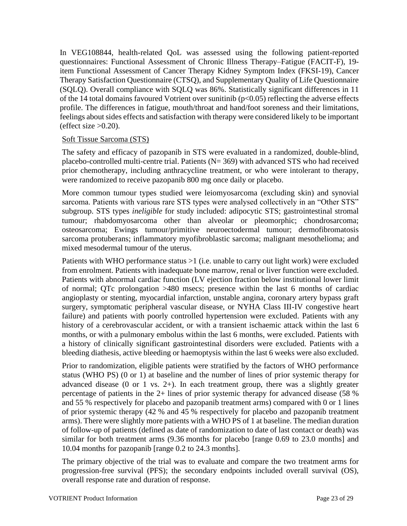In VEG108844, health-related QoL was assessed using the following patient-reported questionnaires: Functional Assessment of Chronic Illness Therapy–Fatigue (FACIT-F), 19 item Functional Assessment of Cancer Therapy Kidney Symptom Index (FKSI-19), Cancer Therapy Satisfaction Questionnaire (CTSQ), and Supplementary Quality of Life Questionnaire (SQLQ). Overall compliance with SQLQ was 86%. Statistically significant differences in 11 of the 14 total domains favoured Votrient over sunitinib ( $p<0.05$ ) reflecting the adverse effects profile. The differences in fatigue, mouth/throat and hand/foot soreness and their limitations, feelings about sides effects and satisfaction with therapy were considered likely to be important (effect size  $>0.20$ ).

#### Soft Tissue Sarcoma (STS)

The safety and efficacy of pazopanib in STS were evaluated in a randomized, double-blind, placebo-controlled multi-centre trial. Patients (N= 369) with advanced STS who had received prior chemotherapy, including anthracycline treatment, or who were intolerant to therapy, were randomized to receive pazopanib 800 mg once daily or placebo.

More common tumour types studied were leiomyosarcoma (excluding skin) and synovial sarcoma. Patients with various rare STS types were analysed collectively in an "Other STS" subgroup. STS types *ineligible* for study included: adipocytic STS; gastrointestinal stromal tumour; rhabdomyosarcoma other than alveolar or pleomorphic; chondrosarcoma; osteosarcoma; Ewings tumour/primitive neuroectodermal tumour; dermofibromatosis sarcoma protuberans; inflammatory myofibroblastic sarcoma; malignant mesothelioma; and mixed mesodermal tumour of the uterus.

Patients with WHO performance status >1 (i.e. unable to carry out light work) were excluded from enrolment. Patients with inadequate bone marrow, renal or liver function were excluded. Patients with abnormal cardiac function (LV ejection fraction below institutional lower limit of normal; QTc prolongation >480 msecs; presence within the last 6 months of cardiac angioplasty or stenting, myocardial infarction, unstable angina, coronary artery bypass graft surgery, symptomatic peripheral vascular disease, or NYHA Class III-IV congestive heart failure) and patients with poorly controlled hypertension were excluded. Patients with any history of a cerebrovascular accident, or with a transient ischaemic attack within the last 6 months, or with a pulmonary embolus within the last 6 months, were excluded. Patients with a history of clinically significant gastrointestinal disorders were excluded. Patients with a bleeding diathesis, active bleeding or haemoptysis within the last 6 weeks were also excluded.

Prior to randomization, eligible patients were stratified by the factors of WHO performance status (WHO PS) (0 or 1) at baseline and the number of lines of prior systemic therapy for advanced disease  $(0 \text{ or } 1 \text{ vs. } 2+)$ . In each treatment group, there was a slightly greater percentage of patients in the 2+ lines of prior systemic therapy for advanced disease (58 % and 55 % respectively for placebo and pazopanib treatment arms) compared with 0 or 1 lines of prior systemic therapy (42 % and 45 % respectively for placebo and pazopanib treatment arms). There were slightly more patients with a WHO PS of 1 at baseline. The median duration of follow-up of patients (defined as date of randomization to date of last contact or death) was similar for both treatment arms (9.36 months for placebo [range 0.69 to 23.0 months] and 10.04 months for pazopanib [range 0.2 to 24.3 months].

The primary objective of the trial was to evaluate and compare the two treatment arms for progression-free survival (PFS); the secondary endpoints included overall survival (OS), overall response rate and duration of response.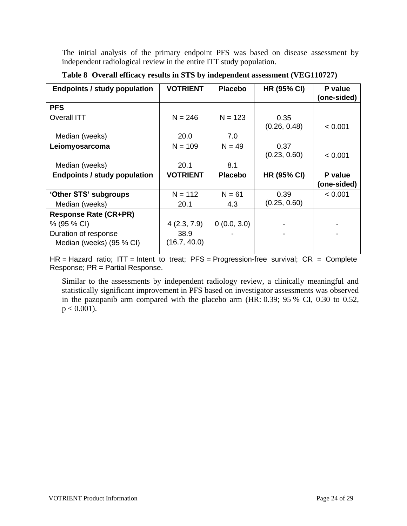The initial analysis of the primary endpoint PFS was based on disease assessment by independent radiological review in the entire ITT study population.

| <b>Endpoints / study population</b> | <b>VOTRIENT</b> | <b>Placebo</b> | <b>HR (95% CI)</b> | P value<br>(one-sided) |
|-------------------------------------|-----------------|----------------|--------------------|------------------------|
|                                     |                 |                |                    |                        |
| <b>PFS</b>                          |                 |                |                    |                        |
| Overall ITT                         | $N = 246$       | $N = 123$      | 0.35               |                        |
|                                     |                 |                | (0.26, 0.48)       | < 0.001                |
| Median (weeks)                      | 20.0            | 7.0            |                    |                        |
| Leiomyosarcoma                      | $N = 109$       | $N = 49$       | 0.37               |                        |
|                                     |                 |                | (0.23, 0.60)       | < 0.001                |
| Median (weeks)                      | 20.1            | 8.1            |                    |                        |
| <b>Endpoints / study population</b> | <b>VOTRIENT</b> | <b>Placebo</b> | <b>HR (95% CI)</b> | P value                |
|                                     |                 |                |                    | (one-sided)            |
| 'Other STS' subgroups               | $N = 112$       | $N = 61$       | 0.39               | < 0.001                |
| Median (weeks)                      | 20.1            | 4.3            | (0.25, 0.60)       |                        |
| <b>Response Rate (CR+PR)</b>        |                 |                |                    |                        |
| % (95 % CI)                         | 4(2.3, 7.9)     | 0(0.0, 3.0)    |                    |                        |
| Duration of response                | 38.9            |                |                    |                        |
| Median (weeks) (95 % CI)            | (16.7, 40.0)    |                |                    |                        |
|                                     |                 |                |                    |                        |

#### **Table 8 Overall efficacy results in STS by independent assessment (VEG110727)**

HR = Hazard ratio; ITT = Intent to treat;  $PFS =$  Progression-free survival;  $CR =$  Complete Response; PR = Partial Response.

Similar to the assessments by independent radiology review, a clinically meaningful and statistically significant improvement in PFS based on investigator assessments was observed in the pazopanib arm compared with the placebo arm (HR: 0.39; 95 % CI, 0.30 to 0.52,  $p < 0.001$ ).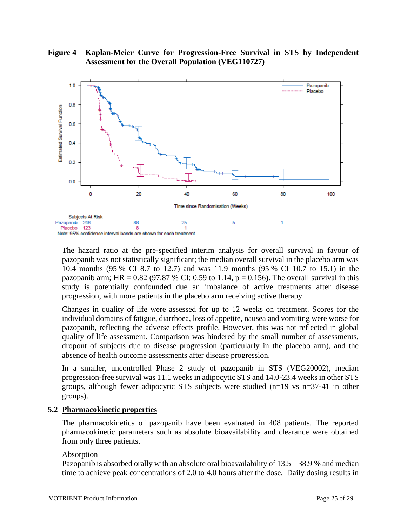



The hazard ratio at the pre-specified interim analysis for overall survival in favour of pazopanib was not statistically significant; the median overall survival in the placebo arm was 10.4 months (95 % CI 8.7 to 12.7) and was 11.9 months (95 % CI 10.7 to 15.1) in the pazopanib arm; HR =  $0.82$  (97.87 % CI: 0.59 to 1.14, p = 0.156). The overall survival in this study is potentially confounded due an imbalance of active treatments after disease progression, with more patients in the placebo arm receiving active therapy.

Changes in quality of life were assessed for up to 12 weeks on treatment. Scores for the individual domains of fatigue, diarrhoea, loss of appetite, nausea and vomiting were worse for pazopanib, reflecting the adverse effects profile. However, this was not reflected in global quality of life assessment. Comparison was hindered by the small number of assessments, dropout of subjects due to disease progression (particularly in the placebo arm), and the absence of health outcome assessments after disease progression.

In a smaller, uncontrolled Phase 2 study of pazopanib in STS (VEG20002), median progression-free survival was 11.1 weeks in adipocytic STS and 14.0-23.4 weeks in other STS groups, although fewer adipocytic STS subjects were studied (n=19 vs n=37-41 in other groups).

#### **5.2 Pharmacokinetic properties**

The pharmacokinetics of pazopanib have been evaluated in 408 patients. The reported pharmacokinetic parameters such as absolute bioavailability and clearance were obtained from only three patients.

#### Absorption

Pazopanib is absorbed orally with an absolute oral bioavailability of 13.5 – 38.9 % and median time to achieve peak concentrations of 2.0 to 4.0 hours after the dose. Daily dosing results in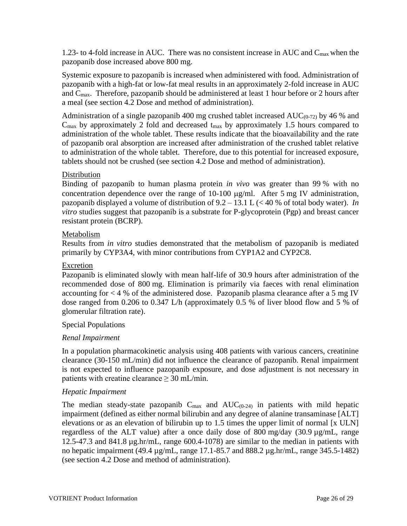1.23- to 4-fold increase in AUC. There was no consistent increase in AUC and  $C_{\text{max}}$  when the pazopanib dose increased above 800 mg.

Systemic exposure to pazopanib is increased when administered with food. Administration of pazopanib with a high-fat or low-fat meal results in an approximately 2-fold increase in AUC and  $C_{\text{max}}$ . Therefore, pazopanib should be administered at least 1 hour before or 2 hours after a meal (see section 4.2 Dose and method of administration).

Administration of a single pazopanib 400 mg crushed tablet increased  $AUC_{(0-72)}$  by 46 % and  $C_{\text{max}}$  by approximately 2 fold and decreased  $t_{\text{max}}$  by approximately 1.5 hours compared to administration of the whole tablet. These results indicate that the bioavailability and the rate of pazopanib oral absorption are increased after administration of the crushed tablet relative to administration of the whole tablet. Therefore, due to this potential for increased exposure, tablets should not be crushed (see section 4.2 Dose and method of administration).

#### Distribution

Binding of pazopanib to human plasma protein *in vivo* was greater than 99 % with no concentration dependence over the range of  $10-100 \text{ µg/ml}$ . After 5 mg IV administration, pazopanib displayed a volume of distribution of 9.2 – 13.1 L (< 40 % of total body water). *In vitro* studies suggest that pazopanib is a substrate for P-glycoprotein (Pgp) and breast cancer resistant protein (BCRP).

#### Metabolism

Results from *in vitro* studies demonstrated that the metabolism of pazopanib is mediated primarily by CYP3A4, with minor contributions from CYP1A2 and CYP2C8.

#### Excretion

Pazopanib is eliminated slowly with mean half-life of 30.9 hours after administration of the recommended dose of 800 mg. Elimination is primarily via faeces with renal elimination accounting for  $<$  4 % of the administered dose. Pazopanib plasma clearance after a 5 mg IV dose ranged from 0.206 to 0.347 L/h (approximately 0.5 % of liver blood flow and 5 % of glomerular filtration rate).

#### Special Populations

#### *Renal Impairment*

In a population pharmacokinetic analysis using 408 patients with various cancers, creatinine clearance (30-150 mL/min) did not influence the clearance of pazopanib. Renal impairment is not expected to influence pazopanib exposure, and dose adjustment is not necessary in patients with creatine clearance  $\geq 30$  mL/min.

#### *Hepatic Impairment*

The median steady-state pazopanib  $C_{\text{max}}$  and  $AUC_{(0-24)}$  in patients with mild hepatic impairment (defined as either normal bilirubin and any degree of alanine transaminase [ALT] elevations or as an elevation of bilirubin up to 1.5 times the upper limit of normal [x ULN] regardless of the ALT value) after a once daily dose of 800 mg/day (30.9 µg/mL, range 12.5-47.3 and 841.8 µg.hr/mL, range 600.4-1078) are similar to the median in patients with no hepatic impairment (49.4 µg/mL, range 17.1-85.7 and 888.2 µg.hr/mL, range 345.5-1482) (see section 4.2 Dose and method of administration).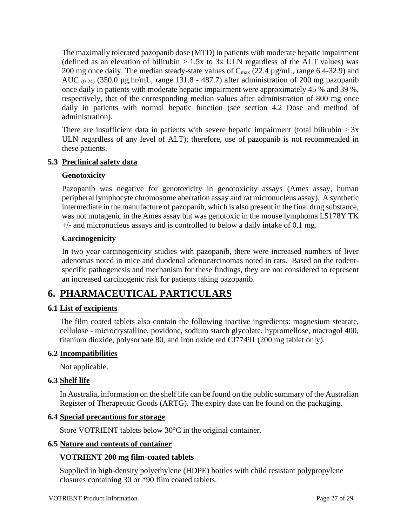The maximally tolerated pazopanib dose (MTD) in patients with moderate hepatic impairment (defined as an elevation of bilirubin  $> 1.5x$  to 3x ULN regardless of the ALT values) was 200 mg once daily. The median steady-state values of  $C_{\text{max}}$  (22.4  $\mu$ g/mL, range 6.4-32.9) and AUC  $_{(0-24)}$  (350.0 µg.hr/mL, range 131.8 - 487.7) after administration of 200 mg pazopanib once daily in patients with moderate hepatic impairment were approximately 45 % and 39 %, respectively, that of the corresponding median values after administration of 800 mg once daily in patients with normal hepatic function (see section 4.2 Dose and method of administration).

There are insufficient data in patients with severe hepatic impairment (total bilirubin  $> 3x$ ULN regardless of any level of ALT); therefore, use of pazopanib is not recommended in these patients.

#### **5.3 Preclinical safety data**

#### **Genotoxicity**

Pazopanib was negative for genotoxicity in genotoxicity assays (Ames assay, human peripheral lymphocyte chromosome aberration assay and rat micronucleus assay). A synthetic intermediate in the manufacture of pazopanib, which is also present in the final drug substance, was not mutagenic in the Ames assay but was genotoxic in the mouse lymphoma L5178Y TK +/- and micronucleus assays and is controlled to below a daily intake of 0.1 mg.

#### **Carcinogenicity**

In two year carcinogenicity studies with pazopanib, there were increased numbers of liver adenomas noted in mice and duodenal adenocarcinomas noted in rats. Based on the rodentspecific pathogenesis and mechanism for these findings, they are not considered to represent an increased carcinogenic risk for patients taking pazopanib.

### **6. PHARMACEUTICAL PARTICULARS**

#### **6.1 List of excipients**

The film coated tablets also contain the following inactive ingredients: magnesium stearate, cellulose - microcrystalline, povidone, sodium starch glycolate, hypromellose, macrogol 400, titanium dioxide, polysorbate 80, and iron oxide red CI77491 (200 mg tablet only).

#### **6.2 Incompatibilities**

Not applicable.

#### **6.3 Shelf life**

In Australia, information on the shelf life can be found on the public summary of the Australian Register of Therapeutic Goods (ARTG). The expiry date can be found on the packaging.

#### **6.4 Special precautions for storage**

Store VOTRIENT tablets below 30°C in the original container.

#### **6.5 Nature and contents of container**

#### **VOTRIENT 200 mg film-coated tablets**

Supplied in high-density polyethylene (HDPE) bottles with child resistant polypropylene closures containing 30 or \*90 film coated tablets.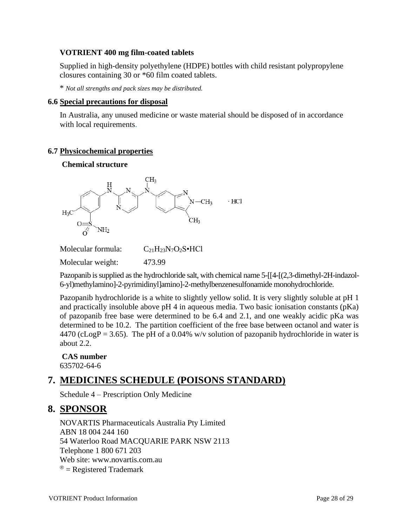#### **VOTRIENT 400 mg film-coated tablets**

Supplied in high-density polyethylene (HDPE) bottles with child resistant polypropylene closures containing 30 or \*60 film coated tablets.

\* *Not all strengths and pack sizes may be distributed.*

#### **6.6 Special precautions for disposal**

In Australia, any unused medicine or waste material should be disposed of in accordance with local requirements.

#### **6.7 Physicochemical properties**

#### **Chemical structure**



Molecular formula:  $C_{21}H_{23}N_7O_2S \cdot HCl$ 

Molecular weight: 473.99

Pazopanib is supplied as the hydrochloride salt, with chemical name 5-[[4-[(2,3-dimethyl-2H-indazol-6-yl)methylamino]-2-pyrimidinyl]amino]-2-methylbenzenesulfonamide monohydrochloride.

Pazopanib hydrochloride is a white to slightly yellow solid. It is very slightly soluble at pH 1 and practically insoluble above pH 4 in aqueous media. Two basic ionisation constants (pKa) of pazopanib free base were determined to be 6.4 and 2.1, and one weakly acidic pKa was determined to be 10.2. The partition coefficient of the free base between octanol and water is  $4470$  (cLogP = 3.65). The pH of a 0.04% w/v solution of pazopanib hydrochloride in water is about 2.2.

#### **CAS number** 635702-64-6

# **7. MEDICINES SCHEDULE (POISONS STANDARD)**

Schedule 4 – Prescription Only Medicine

### **8. SPONSOR**

NOVARTIS Pharmaceuticals Australia Pty Limited ABN 18 004 244 160 54 Waterloo Road MACQUARIE PARK NSW 2113 Telephone 1 800 671 203 Web site: [www.novartis.com.au](http://www.novartis.com.au/)  $^{\circledR}$  = Registered Trademark